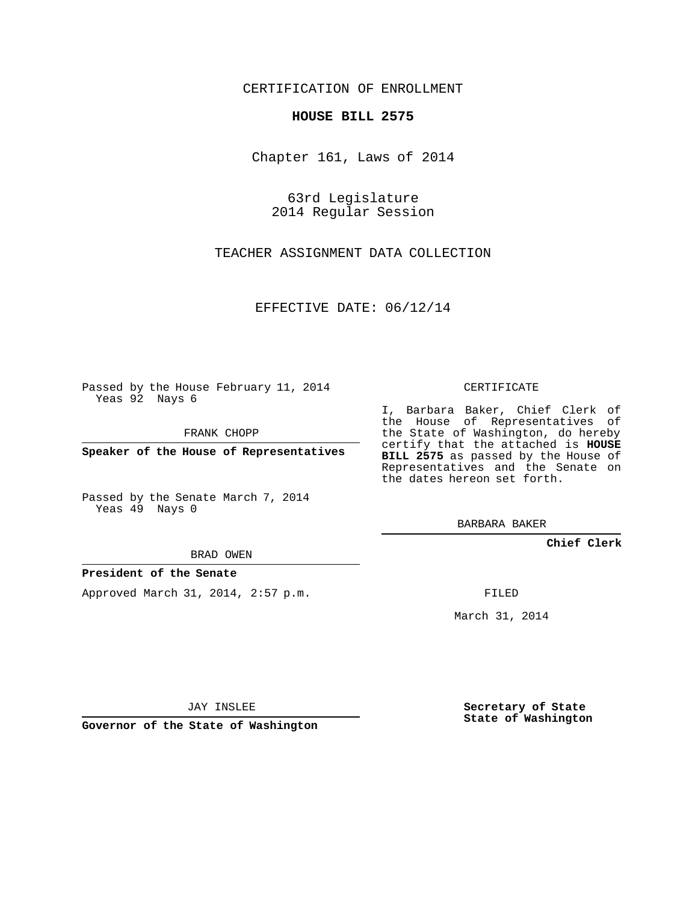### CERTIFICATION OF ENROLLMENT

#### **HOUSE BILL 2575**

Chapter 161, Laws of 2014

63rd Legislature 2014 Regular Session

TEACHER ASSIGNMENT DATA COLLECTION

EFFECTIVE DATE: 06/12/14

Passed by the House February 11, 2014 Yeas 92 Nays 6

FRANK CHOPP

**Speaker of the House of Representatives**

Passed by the Senate March 7, 2014 Yeas 49 Nays 0

BRAD OWEN

#### **President of the Senate**

Approved March 31, 2014, 2:57 p.m.

CERTIFICATE

I, Barbara Baker, Chief Clerk of the House of Representatives of the State of Washington, do hereby certify that the attached is **HOUSE BILL 2575** as passed by the House of Representatives and the Senate on the dates hereon set forth.

BARBARA BAKER

**Chief Clerk**

FILED

March 31, 2014

JAY INSLEE

**Governor of the State of Washington**

**Secretary of State State of Washington**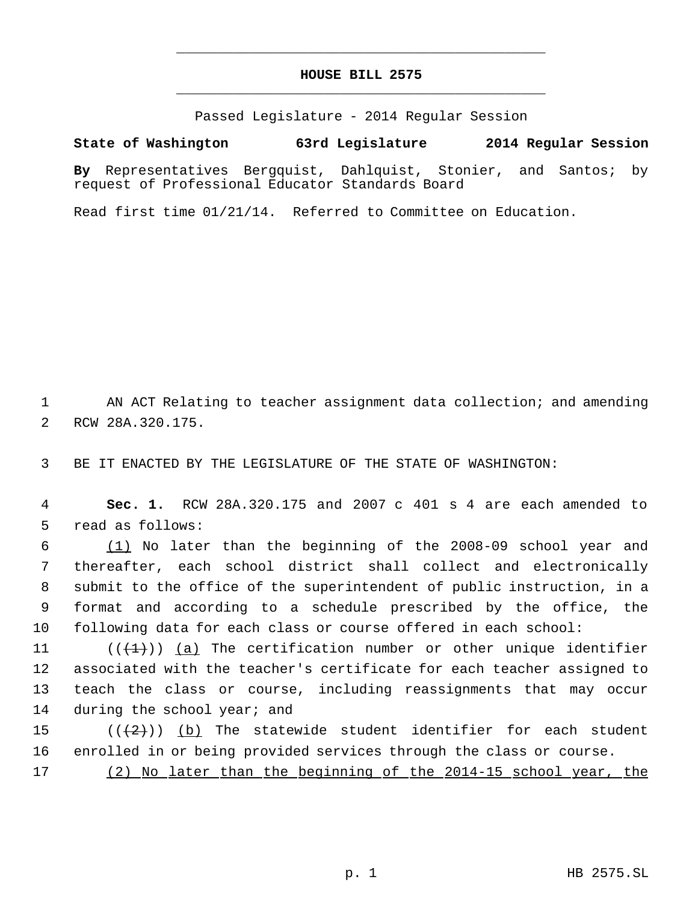# **HOUSE BILL 2575** \_\_\_\_\_\_\_\_\_\_\_\_\_\_\_\_\_\_\_\_\_\_\_\_\_\_\_\_\_\_\_\_\_\_\_\_\_\_\_\_\_\_\_\_\_

\_\_\_\_\_\_\_\_\_\_\_\_\_\_\_\_\_\_\_\_\_\_\_\_\_\_\_\_\_\_\_\_\_\_\_\_\_\_\_\_\_\_\_\_\_

Passed Legislature - 2014 Regular Session

## **State of Washington 63rd Legislature 2014 Regular Session**

**By** Representatives Bergquist, Dahlquist, Stonier, and Santos; by request of Professional Educator Standards Board

Read first time 01/21/14. Referred to Committee on Education.

 1 AN ACT Relating to teacher assignment data collection; and amending 2 RCW 28A.320.175.

3 BE IT ENACTED BY THE LEGISLATURE OF THE STATE OF WASHINGTON:

 4 **Sec. 1.** RCW 28A.320.175 and 2007 c 401 s 4 are each amended to 5 read as follows:

 (1) No later than the beginning of the 2008-09 school year and thereafter, each school district shall collect and electronically submit to the office of the superintendent of public instruction, in a format and according to a schedule prescribed by the office, the following data for each class or course offered in each school:

11 ( $(\{\pm\})$ ) (a) The certification number or other unique identifier 12 associated with the teacher's certificate for each teacher assigned to 13 teach the class or course, including reassignments that may occur 14 during the school year; and

15 ( $(\langle 2 \rangle)$ ) (b) The statewide student identifier for each student 16 enrolled in or being provided services through the class or course.